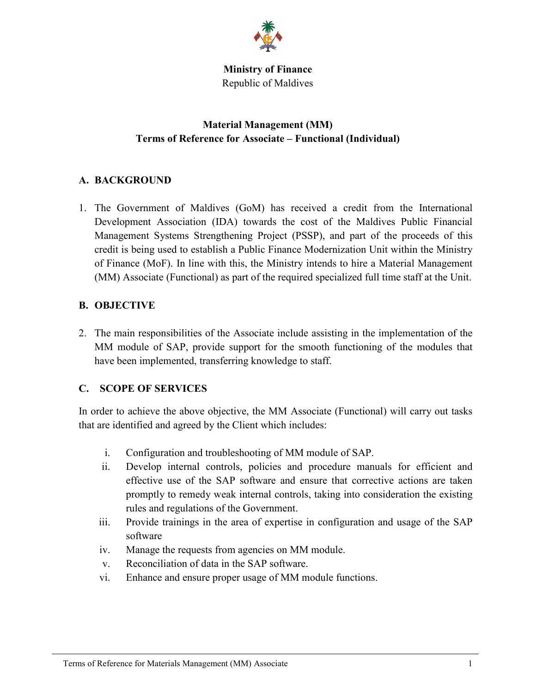

**Ministry of Finance**  Republic of Maldives

# **Material Management (MM) Terms of Reference for Associate – Functional (Individual)**

# **A. BACKGROUND**

1. The Government of Maldives (GoM) has received a credit from the International Development Association (IDA) towards the cost of the Maldives Public Financial Management Systems Strengthening Project (PSSP), and part of the proceeds of this credit is being used to establish a Public Finance Modernization Unit within the Ministry of Finance (MoF). In line with this, the Ministry intends to hire a Material Management (MM) Associate (Functional) as part of the required specialized full time staff at the Unit.

## **B. OBJECTIVE**

2. The main responsibilities of the Associate include assisting in the implementation of the MM module of SAP, provide support for the smooth functioning of the modules that have been implemented, transferring knowledge to staff.

# **C. SCOPE OF SERVICES**

In order to achieve the above objective, the MM Associate (Functional) will carry out tasks that are identified and agreed by the Client which includes:

- i. Configuration and troubleshooting of MM module of SAP.
- ii. Develop internal controls, policies and procedure manuals for efficient and effective use of the SAP software and ensure that corrective actions are taken promptly to remedy weak internal controls, taking into consideration the existing rules and regulations of the Government.
- iii. Provide trainings in the area of expertise in configuration and usage of the SAP software
- iv. Manage the requests from agencies on MM module.
- v. Reconciliation of data in the SAP software.
- vi. Enhance and ensure proper usage of MM module functions.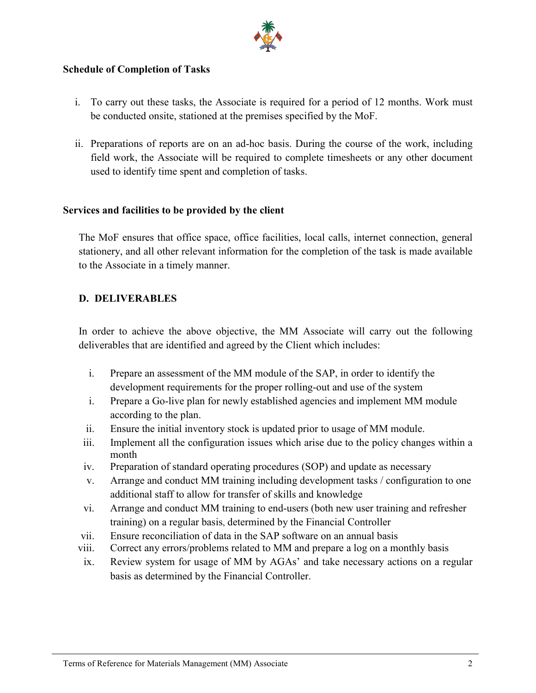

### **Schedule of Completion of Tasks**

- i. To carry out these tasks, the Associate is required for a period of 12 months. Work must be conducted onsite, stationed at the premises specified by the MoF.
- ii. Preparations of reports are on an ad-hoc basis. During the course of the work, including field work, the Associate will be required to complete timesheets or any other document used to identify time spent and completion of tasks.

#### **Services and facilities to be provided by the client**

The MoF ensures that office space, office facilities, local calls, internet connection, general stationery, and all other relevant information for the completion of the task is made available to the Associate in a timely manner.

### **D. DELIVERABLES**

In order to achieve the above objective, the MM Associate will carry out the following deliverables that are identified and agreed by the Client which includes:

- i. Prepare an assessment of the MM module of the SAP, in order to identify the development requirements for the proper rolling-out and use of the system
- i. Prepare a Go-live plan for newly established agencies and implement MM module according to the plan.
- ii. Ensure the initial inventory stock is updated prior to usage of MM module.
- iii. Implement all the configuration issues which arise due to the policy changes within a month
- iv. Preparation of standard operating procedures (SOP) and update as necessary
- v. Arrange and conduct MM training including development tasks / configuration to one additional staff to allow for transfer of skills and knowledge
- vi. Arrange and conduct MM training to end-users (both new user training and refresher training) on a regular basis, determined by the Financial Controller
- vii. Ensure reconciliation of data in the SAP software on an annual basis
- viii. Correct any errors/problems related to MM and prepare a log on a monthly basis
- ix. Review system for usage of MM by AGAs' and take necessary actions on a regular basis as determined by the Financial Controller.